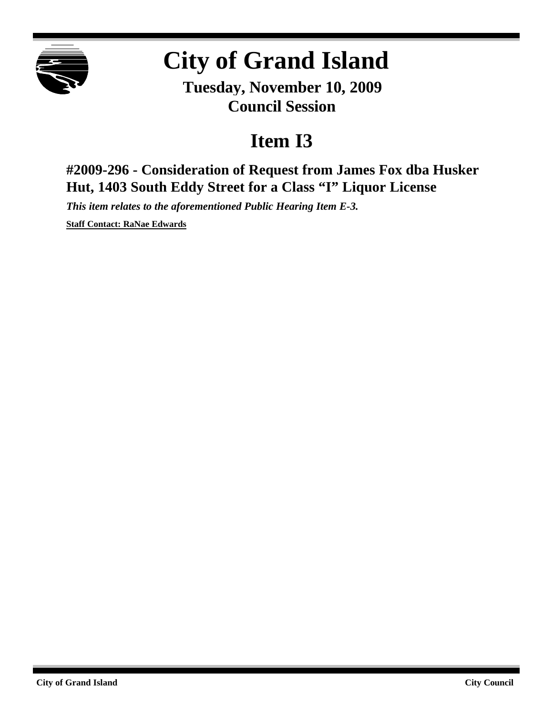

## **City of Grand Island**

**Tuesday, November 10, 2009 Council Session**

## **Item I3**

**#2009-296 - Consideration of Request from James Fox dba Husker Hut, 1403 South Eddy Street for a Class "I" Liquor License**

*This item relates to the aforementioned Public Hearing Item E-3.*

**Staff Contact: RaNae Edwards**